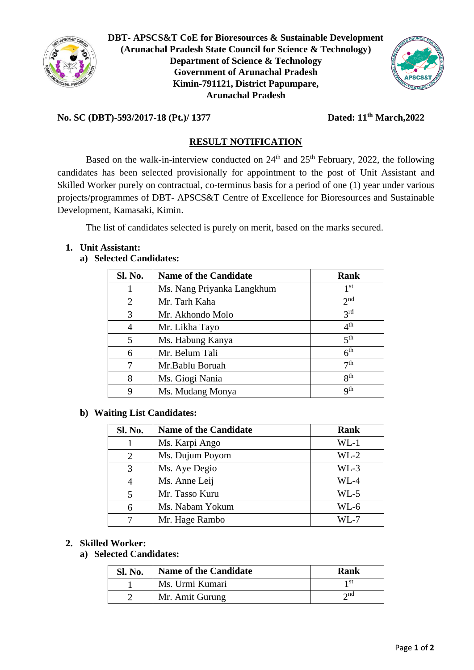

**DBT- APSCS&T CoE for Bioresources & Sustainable Development (Arunachal Pradesh State Council for Science & Technology) Department of Science & Technology Government of Arunachal Pradesh Kimin-791121, District Papumpare, Arunachal Pradesh**



# **No. SC (DBT)-593/2017-18 (Pt.)/ 1377 Dated: 11th March,2022**

# **RESULT NOTIFICATION**

Based on the walk-in-interview conducted on  $24<sup>th</sup>$  and  $25<sup>th</sup>$  February, 2022, the following candidates has been selected provisionally for appointment to the post of Unit Assistant and Skilled Worker purely on contractual, co-terminus basis for a period of one (1) year under various projects/programmes of DBT- APSCS&T Centre of Excellence for Bioresources and Sustainable Development, Kamasaki, Kimin.

The list of candidates selected is purely on merit, based on the marks secured.

# **1. Unit Assistant:**

# **a) Selected Candidates:**

| Sl. No. | <b>Name of the Candidate</b> | <b>Rank</b>     |
|---------|------------------------------|-----------------|
|         | Ms. Nang Priyanka Langkhum   | 1 <sup>st</sup> |
| 2       | Mr. Tarh Kaha                | 2 <sub>nd</sub> |
| 3       | Mr. Akhondo Molo             | 3 <sup>rd</sup> |
| 4       | Mr. Likha Tayo               | 4 <sup>th</sup> |
| 5       | Ms. Habung Kanya             | 5 <sup>th</sup> |
| 6       | Mr. Belum Tali               | 6 <sup>th</sup> |
|         | Mr.Bablu Boruah              | 7 <sup>th</sup> |
| 8       | Ms. Giogi Nania              | $R^{th}$        |
| 9       | Ms. Mudang Monya             | q <sup>th</sup> |

#### **b) Waiting List Candidates:**

| Sl. No. | <b>Name of the Candidate</b> | Rank   |
|---------|------------------------------|--------|
|         | Ms. Karpi Ango               | $WL-1$ |
| 2       | Ms. Dujum Poyom              | $WL-2$ |
| 3       | Ms. Aye Degio                | $WL-3$ |
| 4       | Ms. Anne Leij                | $WL-4$ |
| 5       | Mr. Tasso Kuru               | $WL-5$ |
| 6       | Ms. Nabam Yokum              | WL-6   |
|         | Mr. Hage Rambo               | WI .-7 |

#### **2. Skilled Worker:**

#### **a) Selected Candidates:**

| <b>Sl. No.</b> | <b>Name of the Candidate</b> | Rank        |
|----------------|------------------------------|-------------|
|                | Ms. Urmi Kumari              | 1 St        |
|                | Mr. Amit Gurung              | $\gamma$ nd |